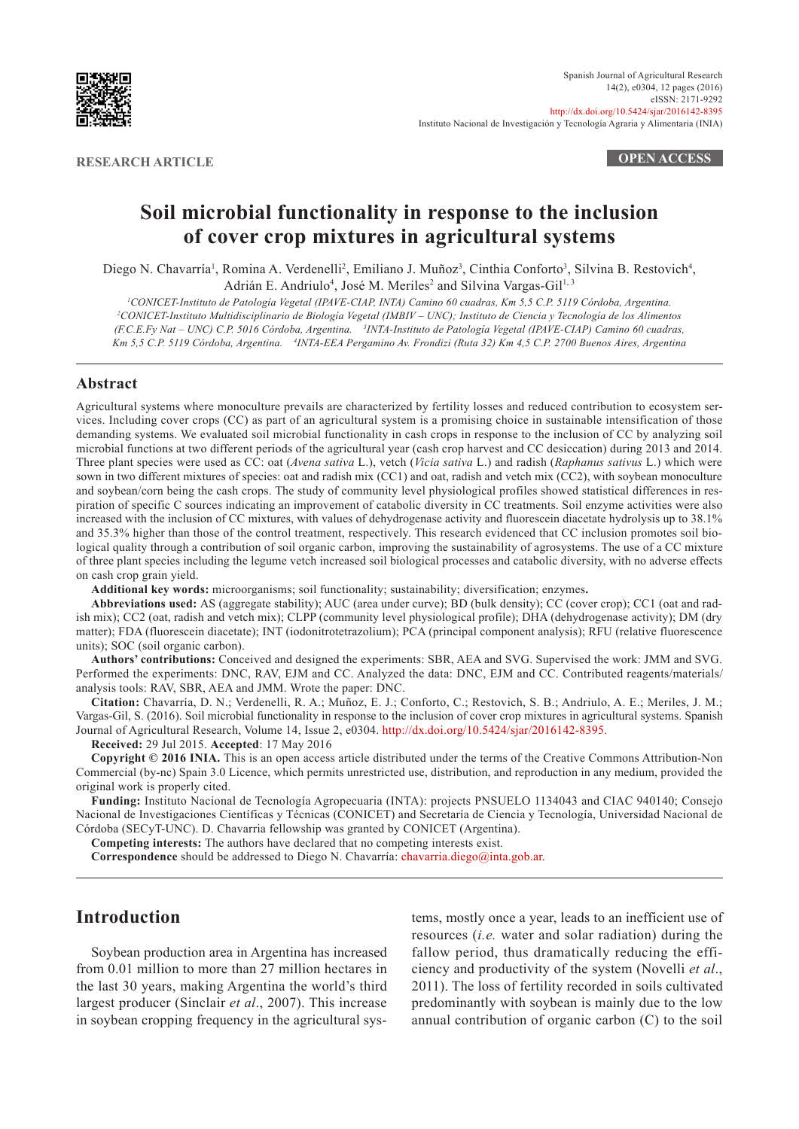

**RESEARCH ARTICLE OPEN ACCESS**

# **Soil microbial functionality in response to the inclusion of cover crop mixtures in agricultural systems**

Diego N. Chavarría<sup>1</sup>, Romina A. Verdenelli<sup>2</sup>, Emiliano J. Muñoz<sup>3</sup>, Cinthia Conforto<sup>3</sup>, Silvina B. Restovich<sup>4</sup>, Adrián E. Andriulo<sup>4</sup>, José M. Meriles<sup>2</sup> and Silvina Vargas-Gil<sup>1, 3</sup>

*1 CONICET-Instituto de Patología Vegetal (IPAVE-CIAP, INTA) Camino 60 cuadras, Km 5,5 C.P. 5119 Córdoba, Argentina. 2 CONICET-Instituto Multidisciplinario de Biología Vegetal (IMBIV – UNC); Instituto de Ciencia y Tecnología de los Alimentos (F.C.E.Fy Nat – UNC) C.P. 5016 Córdoba, Argentina. <sup>3</sup> INTA-Instituto de Patología Vegetal (IPAVE-CIAP) Camino 60 cuadras, Km 5,5 C.P. 5119 Córdoba, Argentina. <sup>4</sup> INTA-EEA Pergamino Av. Frondizi (Ruta 32) Km 4,5 C.P. 2700 Buenos Aires, Argentina*

## **Abstract**

Agricultural systems where monoculture prevails are characterized by fertility losses and reduced contribution to ecosystem services. Including cover crops (CC) as part of an agricultural system is a promising choice in sustainable intensification of those demanding systems. We evaluated soil microbial functionality in cash crops in response to the inclusion of CC by analyzing soil microbial functions at two different periods of the agricultural year (cash crop harvest and CC desiccation) during 2013 and 2014. Three plant species were used as CC: oat (*Avena sativa* L.), vetch (*Vicia sativa* L.) and radish (*Raphanus sativus* L.) which were sown in two different mixtures of species: oat and radish mix (CC1) and oat, radish and vetch mix (CC2), with soybean monoculture and soybean/corn being the cash crops. The study of community level physiological profiles showed statistical differences in respiration of specific C sources indicating an improvement of catabolic diversity in CC treatments. Soil enzyme activities were also increased with the inclusion of CC mixtures, with values of dehydrogenase activity and fluorescein diacetate hydrolysis up to 38.1% and 35.3% higher than those of the control treatment, respectively. This research evidenced that CC inclusion promotes soil biological quality through a contribution of soil organic carbon, improving the sustainability of agrosystems. The use of a CC mixture of three plant species including the legume vetch increased soil biological processes and catabolic diversity, with no adverse effects on cash crop grain yield.

**Additional key words:** microorganisms; soil functionality; sustainability; diversification; enzymes**.**

**Abbreviations used:** AS (aggregate stability); AUC (area under curve); BD (bulk density); CC (cover crop); CC1 (oat and radish mix); CC2 (oat, radish and vetch mix); CLPP (community level physiological profile); DHA (dehydrogenase activity); DM (dry matter); FDA (fluorescein diacetate); INT (iodonitrotetrazolium); PCA (principal component analysis); RFU (relative fluorescence units); SOC (soil organic carbon).

**Authors' contributions:** Conceived and designed the experiments: SBR, AEA and SVG. Supervised the work: JMM and SVG. Performed the experiments: DNC, RAV, EJM and CC. Analyzed the data: DNC, EJM and CC. Contributed reagents/materials/ analysis tools: RAV, SBR, AEA and JMM. Wrote the paper: DNC.

**Citation:** Chavarría, D. N.; Verdenelli, R. A.; Muñoz, E. J.; Conforto, C.; Restovich, S. B.; Andriulo, A. E.; Meriles, J. M.; Vargas-Gil, S. (2016). Soil microbial functionality in response to the inclusion of cover crop mixtures in agricultural systems. Spanish Journal of Agricultural Research, Volume 14, Issue 2, e0304. <http://dx.doi.org/10.5424/sjar/2016142-8395>.

**Received:** 29 Jul 2015. **Accepted**: 17 May 2016

**Copyright © 2016 INIA.** This is an open access article distributed under the terms of the Creative Commons Attribution-Non Commercial (by-nc) Spain 3.0 Licence, which permits unrestricted use, distribution, and reproduction in any medium, provided the original work is properly cited.

**Funding:** Instituto Nacional de Tecnología Agropecuaria (INTA): projects PNSUELO 1134043 and CIAC 940140; Consejo Nacional de Investigaciones Científicas y Técnicas (CONICET) and Secretaría de Ciencia y Tecnología, Universidad Nacional de Córdoba (SECyT-UNC). D. Chavarria fellowship was granted by CONICET (Argentina).

**Competing interests:** The authors have declared that no competing interests exist.

**Correspondence** should be addressed to Diego N. Chavarría: [chavarria.diego@inta.gob.ar](mailto:chavarria.diego@inta.gob.ar).

# **Introduction**

Soybean production area in Argentina has increased from 0.01 million to more than 27 million hectares in the last 30 years, making Argentina the world's third largest producer (Sinclair *et al*., 2007). This increase in soybean cropping frequency in the agricultural sys-

tems, mostly once a year, leads to an inefficient use of resources (*i.e.* water and solar radiation) during the fallow period, thus dramatically reducing the efficiency and productivity of the system (Novelli *et al*., 2011). The loss of fertility recorded in soils cultivated predominantly with soybean is mainly due to the low annual contribution of organic carbon (C) to the soil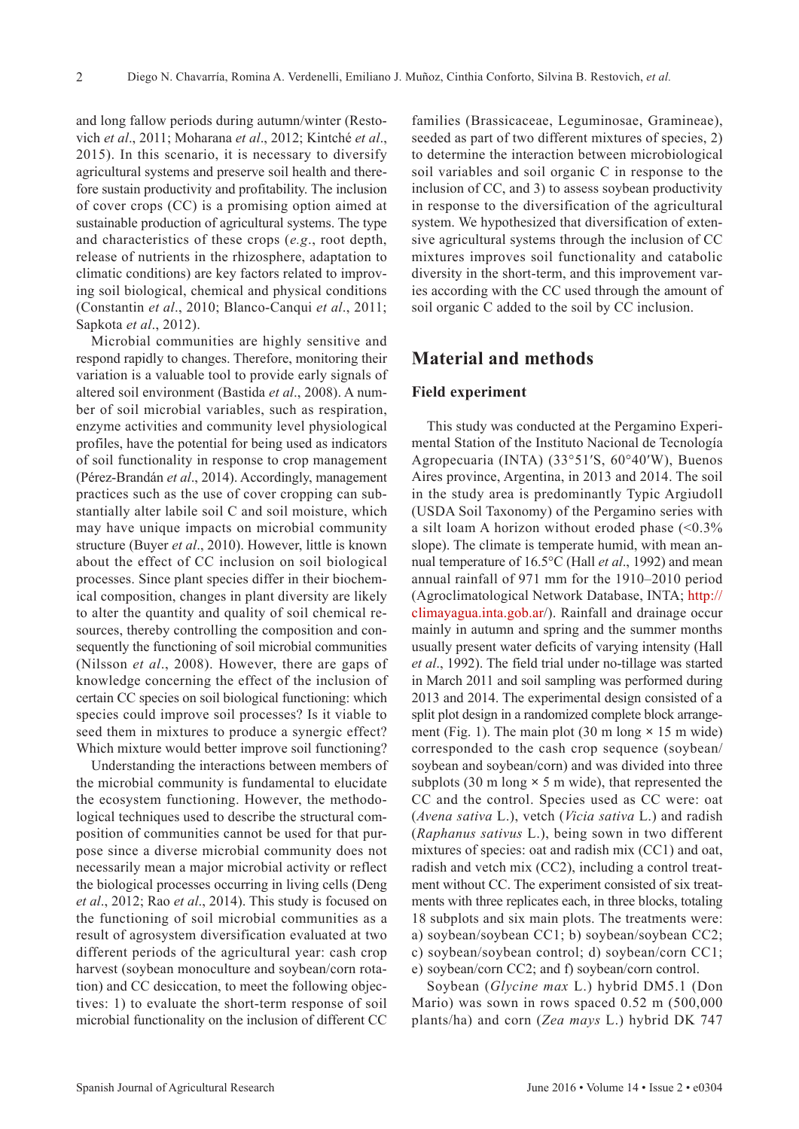and long fallow periods during autumn/winter (Restovich *et al*., 2011; Moharana *et al*., 2012; Kintché *et al*., 2015). In this scenario, it is necessary to diversify agricultural systems and preserve soil health and therefore sustain productivity and profitability. The inclusion of cover crops (CC) is a promising option aimed at sustainable production of agricultural systems. The type and characteristics of these crops (*e.g*., root depth, release of nutrients in the rhizosphere, adaptation to climatic conditions) are key factors related to improving soil biological, chemical and physical conditions (Constantin *et al*., 2010; Blanco-Canqui *et al*., 2011; Sapkota *et al*., 2012).

Microbial communities are highly sensitive and respond rapidly to changes. Therefore, monitoring their variation is a valuable tool to provide early signals of altered soil environment (Bastida *et al*., 2008). A number of soil microbial variables, such as respiration, enzyme activities and community level physiological profiles, have the potential for being used as indicators of soil functionality in response to crop management (Pérez-Brandán *et al*., 2014). Accordingly, management practices such as the use of cover cropping can substantially alter labile soil C and soil moisture, which may have unique impacts on microbial community structure (Buyer *et al*., 2010). However, little is known about the effect of CC inclusion on soil biological processes. Since plant species differ in their biochemical composition, changes in plant diversity are likely to alter the quantity and quality of soil chemical resources, thereby controlling the composition and consequently the functioning of soil microbial communities (Nilsson *et al*., 2008). However, there are gaps of knowledge concerning the effect of the inclusion of certain CC species on soil biological functioning: which species could improve soil processes? Is it viable to seed them in mixtures to produce a synergic effect? Which mixture would better improve soil functioning?

Understanding the interactions between members of the microbial community is fundamental to elucidate the ecosystem functioning. However, the methodological techniques used to describe the structural composition of communities cannot be used for that purpose since a diverse microbial community does not necessarily mean a major microbial activity or reflect the biological processes occurring in living cells (Deng *et al*., 2012; Rao *et al*., 2014). This study is focused on the functioning of soil microbial communities as a result of agrosystem diversification evaluated at two different periods of the agricultural year: cash crop harvest (soybean monoculture and soybean/corn rotation) and CC desiccation, to meet the following objectives: 1) to evaluate the short-term response of soil microbial functionality on the inclusion of different CC

families (Brassicaceae, Leguminosae, Gramineae), seeded as part of two different mixtures of species, 2) to determine the interaction between microbiological soil variables and soil organic C in response to the inclusion of CC, and 3) to assess soybean productivity in response to the diversification of the agricultural system. We hypothesized that diversification of extensive agricultural systems through the inclusion of CC mixtures improves soil functionality and catabolic diversity in the short-term, and this improvement varies according with the CC used through the amount of soil organic C added to the soil by CC inclusion.

# **Material and methods**

#### **Field experiment**

This study was conducted at the Pergamino Experimental Station of the Instituto Nacional de Tecnología Agropecuaria (INTA) (33°51′S, 60°40′W), Buenos Aires province, Argentina, in 2013 and 2014. The soil in the study area is predominantly Typic Argiudoll (USDA Soil Taxonomy) of the Pergamino series with a silt loam A horizon without eroded phase  $($ <0.3% slope). The climate is temperate humid, with mean annual temperature of 16.5°C (Hall *et al*., 1992) and mean annual rainfall of 971 mm for the 1910–2010 period (Agroclimatological Network Database, INTA; [http://](http://climayagua.inta.gob.ar) [climayagua.inta.gob.ar](http://climayagua.inta.gob.ar)/). Rainfall and drainage occur mainly in autumn and spring and the summer months usually present water deficits of varying intensity (Hall *et al*., 1992). The field trial under no-tillage was started in March 2011 and soil sampling was performed during 2013 and 2014. The experimental design consisted of a split plot design in a randomized complete block arrangement (Fig. 1). The main plot (30 m long **×** 15 m wide) corresponded to the cash crop sequence (soybean/ soybean and soybean/corn) and was divided into three subplots (30 m long **×** 5 m wide), that represented the CC and the control. Species used as CC were: oat (*Avena sativa* L.), vetch (*Vicia sativa* L.) and radish (*Raphanus sativus* L.), being sown in two different mixtures of species: oat and radish mix (CC1) and oat, radish and vetch mix (CC2), including a control treatment without CC. The experiment consisted of six treatments with three replicates each, in three blocks, totaling 18 subplots and six main plots. The treatments were: a) soybean/soybean CC1; b) soybean/soybean CC2; c) soybean/soybean control; d) soybean/corn CC1; e) soybean/corn CC2; and f) soybean/corn control.

Soybean (*Glycine max* L.) hybrid DM5.1 (Don Mario) was sown in rows spaced 0.52 m (500,000 plants/ha) and corn (*Zea mays* L.) hybrid DK 747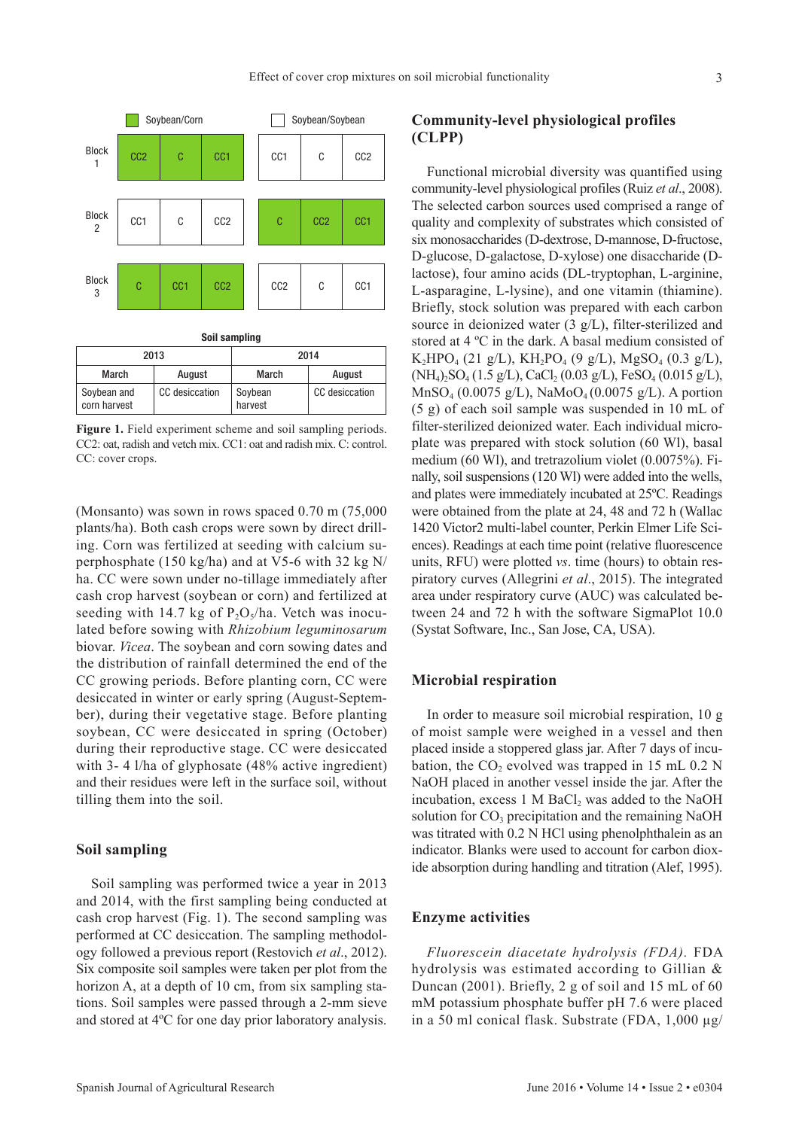

| Soil sampling               |                |                    |                |  |  |  |  |
|-----------------------------|----------------|--------------------|----------------|--|--|--|--|
| 2013                        |                | 2014               |                |  |  |  |  |
| March                       | August         | March              | August         |  |  |  |  |
| Soybean and<br>corn harvest | CC desiccation | Soybean<br>harvest | CC desiccation |  |  |  |  |

**Figure 1.** Field experiment scheme and soil sampling periods. CC2: oat, radish and vetch mix. CC1: oat and radish mix. C: control. CC: cover crops.

(Monsanto) was sown in rows spaced 0.70 m (75,000 plants/ha). Both cash crops were sown by direct drilling. Corn was fertilized at seeding with calcium superphosphate (150 kg/ha) and at V5-6 with 32 kg N/ ha. CC were sown under no-tillage immediately after cash crop harvest (soybean or corn) and fertilized at seeding with 14.7 kg of  $P_2O_5/ha$ . Vetch was inoculated before sowing with *Rhizobium leguminosarum* biovar. *Vicea*. The soybean and corn sowing dates and the distribution of rainfall determined the end of the CC growing periods. Before planting corn, CC were desiccated in winter or early spring (August-September), during their vegetative stage. Before planting soybean, CC were desiccated in spring (October) during their reproductive stage. CC were desiccated with 3-4 l/ha of glyphosate (48% active ingredient) and their residues were left in the surface soil, without tilling them into the soil.

## **Soil sampling**

Soil sampling was performed twice a year in 2013 and 2014, with the first sampling being conducted at cash crop harvest (Fig. 1). The second sampling was performed at CC desiccation. The sampling methodology followed a previous report (Restovich *et al*., 2012). Six composite soil samples were taken per plot from the horizon A, at a depth of 10 cm, from six sampling stations. Soil samples were passed through a 2-mm sieve and stored at 4ºC for one day prior laboratory analysis.

## **Community-level physiological profiles (CLPP)**

Functional microbial diversity was quantified using community-level physiological profiles (Ruiz *et al*., 2008). The selected carbon sources used comprised a range of quality and complexity of substrates which consisted of six monosaccharides (D-dextrose, D-mannose, D-fructose, D-glucose, D-galactose, D-xylose) one disaccharide (Dlactose), four amino acids (DL-tryptophan, L-arginine, L-asparagine, L-lysine), and one vitamin (thiamine). Briefly, stock solution was prepared with each carbon source in deionized water (3 g/L), filter-sterilized and stored at 4 ºC in the dark. A basal medium consisted of K<sub>2</sub>HPO<sub>4</sub> (21 g/L), KH<sub>2</sub>PO<sub>4</sub> (9 g/L), MgSO<sub>4</sub> (0.3 g/L),  $(NH_4)$ ,  $SO_4$  (1.5 g/L), CaCl, (0.03 g/L), FeSO<sub>4</sub> (0.015 g/L),  $MnSO_4 (0.0075 g/L)$ , NaMo $O_4 (0.0075 g/L)$ . A portion (5 g) of each soil sample was suspended in 10 mL of filter-sterilized deionized water. Each individual microplate was prepared with stock solution (60 Wl), basal medium (60 Wl), and tretrazolium violet (0.0075%). Finally, soil suspensions (120 Wl) were added into the wells, and plates were immediately incubated at 25ºC. Readings were obtained from the plate at 24, 48 and 72 h (Wallac 1420 Victor2 multi-label counter, Perkin Elmer Life Sciences). Readings at each time point (relative fluorescence units, RFU) were plotted *vs*. time (hours) to obtain respiratory curves (Allegrini *et al*., 2015). The integrated area under respiratory curve (AUC) was calculated between 24 and 72 h with the software SigmaPlot 10.0 (Systat Software, Inc., San Jose, CA, USA).

## **Microbial respiration**

In order to measure soil microbial respiration, 10 g of moist sample were weighed in a vessel and then placed inside a stoppered glass jar. After 7 days of incubation, the  $CO_2$  evolved was trapped in 15 mL 0.2 N NaOH placed in another vessel inside the jar. After the incubation, excess  $1 M BaCl<sub>2</sub>$  was added to the NaOH solution for  $CO<sub>3</sub>$  precipitation and the remaining NaOH was titrated with 0.2 N HCl using phenolphthalein as an indicator. Blanks were used to account for carbon dioxide absorption during handling and titration (Alef, 1995).

#### **Enzyme activities**

*Fluorescein diacetate hydrolysis (FDA).* FDA hydrolysis was estimated according to Gillian & Duncan (2001). Briefly, 2 g of soil and 15 mL of 60 mM potassium phosphate buffer pH 7.6 were placed in a 50 ml conical flask. Substrate (FDA, 1,000 µg/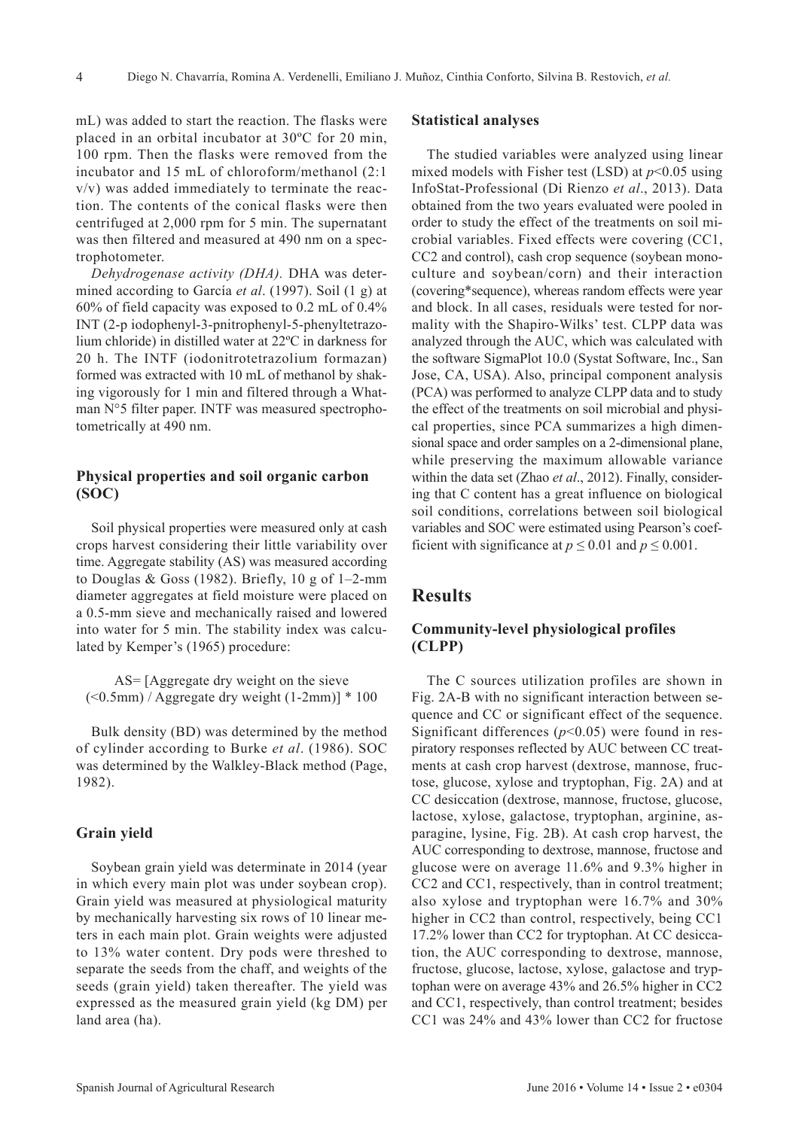mL) was added to start the reaction. The flasks were placed in an orbital incubator at 30ºC for 20 min, 100 rpm. Then the flasks were removed from the incubator and 15 mL of chloroform/methanol (2:1 v/v) was added immediately to terminate the reaction. The contents of the conical flasks were then centrifuged at 2,000 rpm for 5 min. The supernatant was then filtered and measured at 490 nm on a spectrophotometer.

*Dehydrogenase activity (DHA).* DHA was determined according to García *et al*. (1997). Soil (1 g) at 60% of field capacity was exposed to 0.2 mL of 0.4% INT (2-p iodophenyl-3-pnitrophenyl-5-phenyltetrazolium chloride) in distilled water at 22ºC in darkness for 20 h. The INTF (iodonitrotetrazolium formazan) formed was extracted with 10 mL of methanol by shaking vigorously for 1 min and filtered through a Whatman N°5 filter paper. INTF was measured spectrophotometrically at 490 nm.

## **Physical properties and soil organic carbon (SOC)**

Soil physical properties were measured only at cash crops harvest considering their little variability over time. Aggregate stability (AS) was measured according to Douglas & Goss (1982). Briefly, 10 g of 1–2-mm diameter aggregates at field moisture were placed on a 0.5-mm sieve and mechanically raised and lowered into water for 5 min. The stability index was calculated by Kemper's (1965) procedure:

AS= [Aggregate dry weight on the sieve  $(< 0.5$ mm) / Aggregate dry weight  $(1-2$ mm)]  $*100$ 

Bulk density (BD) was determined by the method of cylinder according to Burke *et al*. (1986). SOC was determined by the Walkley-Black method (Page, 1982).

#### **Grain yield**

Soybean grain yield was determinate in 2014 (year in which every main plot was under soybean crop). Grain yield was measured at physiological maturity by mechanically harvesting six rows of 10 linear meters in each main plot. Grain weights were adjusted to 13% water content. Dry pods were threshed to separate the seeds from the chaff, and weights of the seeds (grain yield) taken thereafter. The yield was expressed as the measured grain yield (kg DM) per land area (ha).

#### **Statistical analyses**

The studied variables were analyzed using linear mixed models with Fisher test (LSD) at  $p<0.05$  using InfoStat-Professional (Di Rienzo *et al*., 2013). Data obtained from the two years evaluated were pooled in order to study the effect of the treatments on soil microbial variables. Fixed effects were covering (CC1, CC2 and control), cash crop sequence (soybean monoculture and soybean/corn) and their interaction (covering\*sequence), whereas random effects were year and block. In all cases, residuals were tested for normality with the Shapiro-Wilks' test. CLPP data was analyzed through the AUC, which was calculated with the software SigmaPlot 10.0 (Systat Software, Inc., San Jose, CA, USA). Also, principal component analysis (PCA) was performed to analyze CLPP data and to study the effect of the treatments on soil microbial and physical properties, since PCA summarizes a high dimensional space and order samples on a 2-dimensional plane, while preserving the maximum allowable variance within the data set (Zhao *et al*., 2012). Finally, considering that C content has a great influence on biological soil conditions, correlations between soil biological variables and SOC were estimated using Pearson's coefficient with significance at  $p \le 0.01$  and  $p \le 0.001$ .

## **Results**

## **Community-level physiological profiles (CLPP)**

The C sources utilization profiles are shown in Fig. 2A-B with no significant interaction between sequence and CC or significant effect of the sequence. Significant differences  $(p<0.05)$  were found in respiratory responses reflected by AUC between CC treatments at cash crop harvest (dextrose, mannose, fructose, glucose, xylose and tryptophan, Fig. 2A) and at CC desiccation (dextrose, mannose, fructose, glucose, lactose, xylose, galactose, tryptophan, arginine, asparagine, lysine, Fig. 2B). At cash crop harvest, the AUC corresponding to dextrose, mannose, fructose and glucose were on average 11.6% and 9.3% higher in CC2 and CC1, respectively, than in control treatment; also xylose and tryptophan were 16.7% and 30% higher in CC2 than control, respectively, being CC1 17.2% lower than CC2 for tryptophan. At CC desiccation, the AUC corresponding to dextrose, mannose, fructose, glucose, lactose, xylose, galactose and tryptophan were on average 43% and 26.5% higher in CC2 and CC1, respectively, than control treatment; besides CC1 was 24% and 43% lower than CC2 for fructose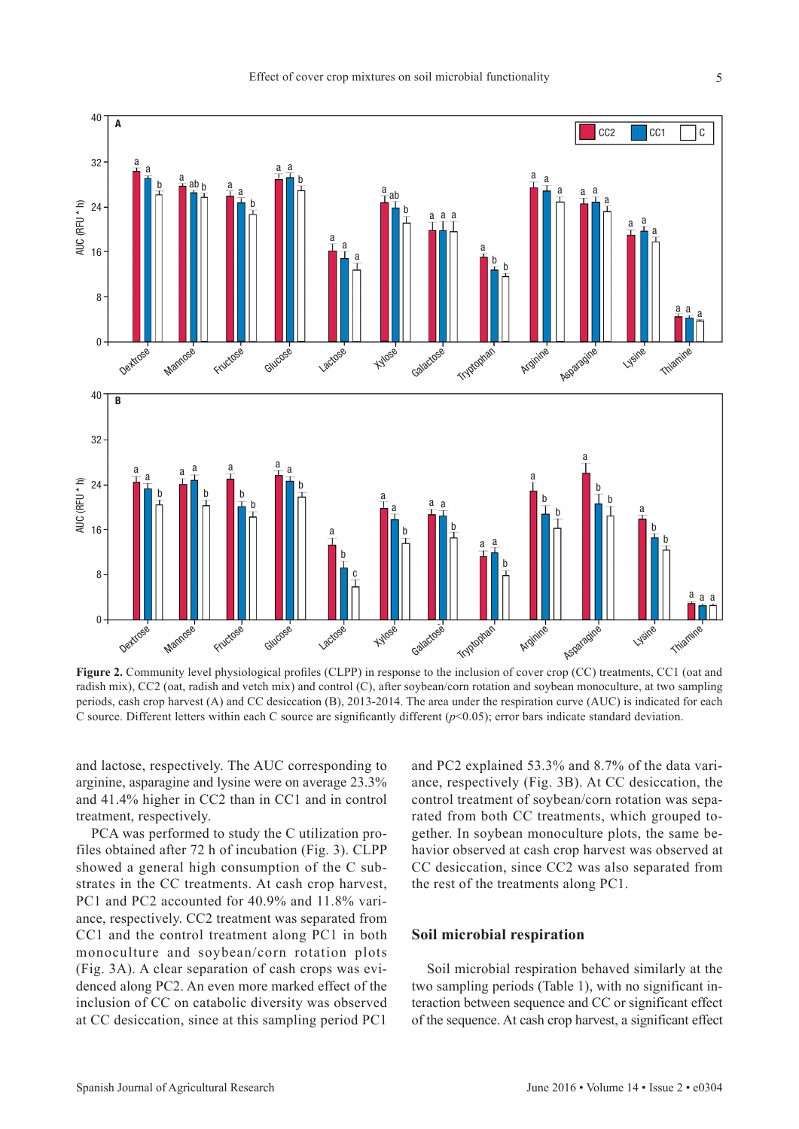

Figure 2. Community level physiological profiles (CLPP) in response to the inclusion of cover crop (CC) treatments, CC1 (oat and radish mix), CC2 (oat, radish and vetch mix) and control (C), after soybean/corn rotation and soybean monoculture, at two sampling periods, cash crop harvest (A) and CC desiccation (B), 2013-2014. The area under the respiration curve (AUC) is indicated for each

and lactose, respectively. The AUC corresponding to arginine, asparagine and lysine were on average 23.3% and 41.4% higher in CC2 than in CC1 and in control treatment, respectively.

PCA was performed to study the C utilization profiles obtained after 72 h of incubation (Fig. 3). CLPP showed a general high consumption of the C substrates in the CC treatments. At cash crop harvest, PC1 and PC2 accounted for 40.9% and 11.8% variance, respectively. CC2 treatment was separated from CC1 and the control treatment along PC1 in both monoculture and soybean/corn rotation plots (Fig. 3A). A clear separation of cash crops was evidenced along PC2. An even more marked effect of the inclusion of CC on catabolic diversity was observed at CC desiccation, since at this sampling period PC1

and PC2 explained 53.3% and 8.7% of the data variance, respectively (Fig. 3B). At CC desiccation, the control treatment of soybean/corn rotation was separated from both CC treatments, which grouped together. In soybean monoculture plots, the same behavior observed at cash crop harvest was observed at CC desiccation, since CC2 was also separated from the rest of the treatments along PC1.

#### **Soil microbial respiration**

Soil microbial respiration behaved similarly at the two sampling periods (Table 1), with no significant interaction between sequence and CC or significant effect of the sequence. At cash crop harvest, a significant effect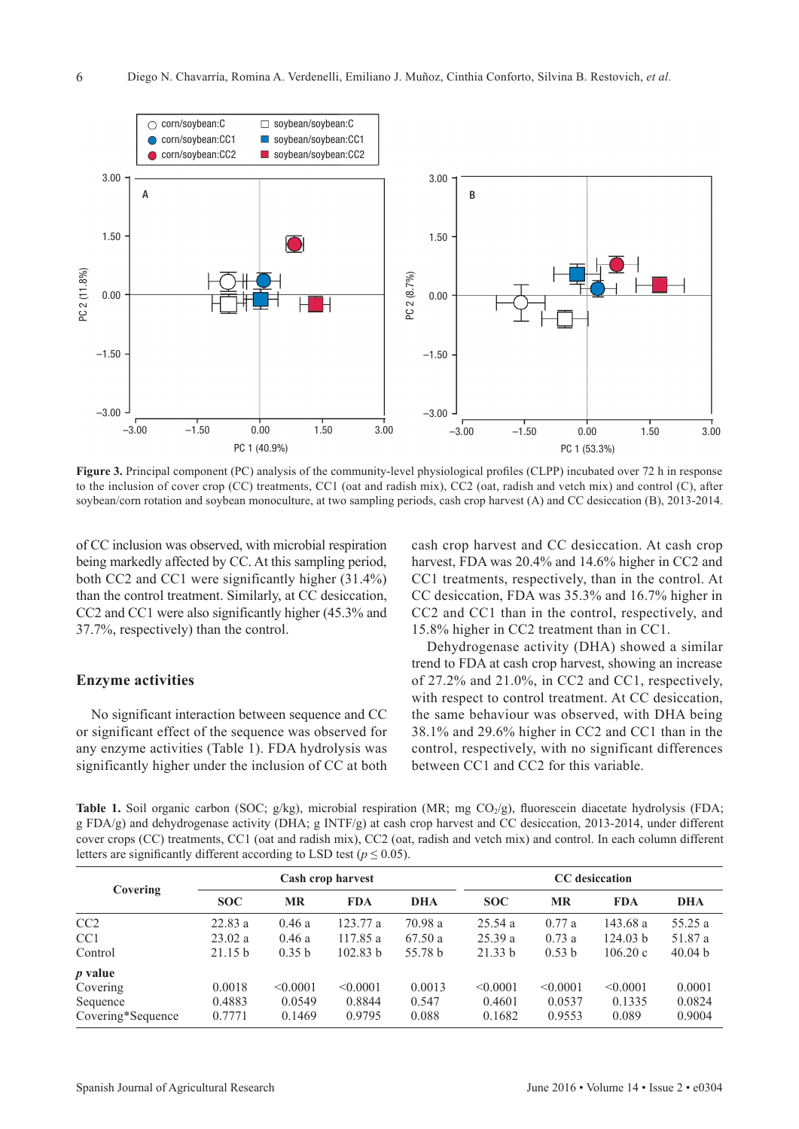

**Figure 3.** Principal component (PC) analysis of the community-level physiological profiles (CLPP) incubated over 72 h in response to the inclusion of cover crop (CC) treatments, CC1 (oat and radish mix), CC2 (oat, radish and vetch mix) and control (C), after soybean/corn rotation and soybean monoculture, at two sampling periods, cash crop harvest (A) and CC desiccation (B), 2013-2014.

of CC inclusion was observed, with microbial respiration being markedly affected by CC. At this sampling period, both CC2 and CC1 were significantly higher (31.4%) than the control treatment. Similarly, at CC desiccation, CC2 and CC1 were also significantly higher (45.3% and 37.7%, respectively) than the control.

#### **Enzyme activities**

6

No significant interaction between sequence and CC or significant effect of the sequence was observed for any enzyme activities (Table 1). FDA hydrolysis was significantly higher under the inclusion of CC at both cash crop harvest and CC desiccation. At cash crop harvest, FDA was 20.4% and 14.6% higher in CC2 and CC1 treatments, respectively, than in the control. At CC desiccation, FDA was 35.3% and 16.7% higher in CC2 and CC1 than in the control, respectively, and 15.8% higher in CC2 treatment than in CC1.

Dehydrogenase activity (DHA) showed a similar trend to FDA at cash crop harvest, showing an increase of 27.2% and 21.0%, in CC2 and CC1, respectively, with respect to control treatment. At CC desiccation, the same behaviour was observed, with DHA being 38.1% and 29.6% higher in CC2 and CC1 than in the control, respectively, with no significant differences between CC1 and CC2 for this variable.

**Table 1.** Soil organic carbon (SOC;  $g/kg$ ), microbial respiration (MR; mg CO<sub>2</sub>/g), fluorescein diacetate hydrolysis (FDA; g FDA/g) and dehydrogenase activity (DHA; g INTF/g) at cash crop harvest and CC desiccation, 2013-2014, under different cover crops (CC) treatments, CC1 (oat and radish mix), CC2 (oat, radish and vetch mix) and control. In each column different letters are significantly different according to LSD test ( $p \le 0.05$ ).

| Covering          | Cash crop harvest |           |            | <b>CC</b> desiccation |            |           |            |            |
|-------------------|-------------------|-----------|------------|-----------------------|------------|-----------|------------|------------|
|                   | <b>SOC</b>        | <b>MR</b> | <b>FDA</b> | <b>DHA</b>            | <b>SOC</b> | <b>MR</b> | <b>FDA</b> | <b>DHA</b> |
| CC2               | 22.83a            | 0.46a     | 123.77 a   | 70.98 a               | 25.54a     | 0.77a     | 143.68a    | 55.25 a    |
| CC <sub>1</sub>   | 23.02 a           | 0.46a     | 117.85 a   | 67.50a                | 25.39a     | 0.73a     | 124.03 b   | 51.87 a    |
| Control           | 21.15 b           | 0.35 b    | 102.83 h   | 55.78 b               | 21.33 b    | 0.53 b    | 106.20c    | 40.04 b    |
| $p$ value         |                   |           |            |                       |            |           |            |            |
| Covering          | 0.0018            | < 0.0001  | < 0.0001   | 0.0013                | < 0.0001   | < 0.0001  | < 0.0001   | 0.0001     |
| Sequence          | 0.4883            | 0.0549    | 0.8844     | 0.547                 | 0.4601     | 0.0537    | 0.1335     | 0.0824     |
| Covering*Sequence | 0.7771            | 0.1469    | 0.9795     | 0.088                 | 0.1682     | 0.9553    | 0.089      | 0.9004     |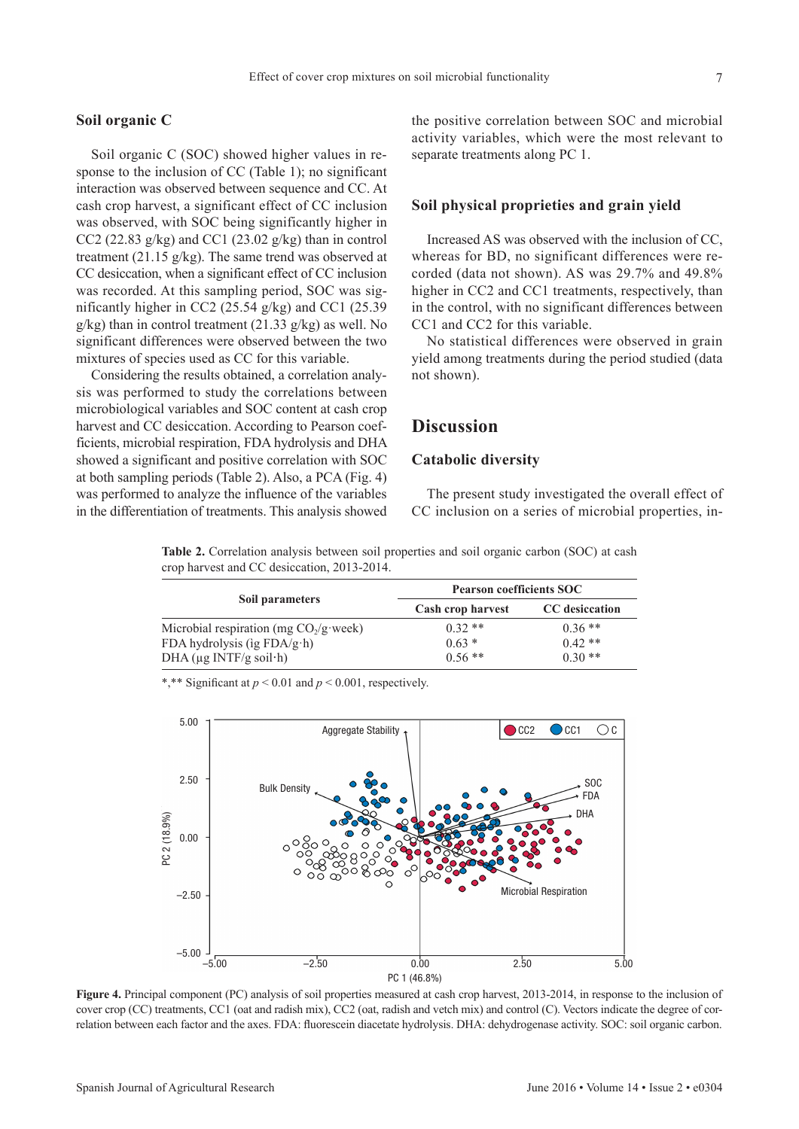#### **Soil organic C**

Soil organic C (SOC) showed higher values in response to the inclusion of CC (Table 1); no significant interaction was observed between sequence and CC. At cash crop harvest, a significant effect of CC inclusion was observed, with SOC being significantly higher in CC2 (22.83 g/kg) and CC1 (23.02 g/kg) than in control treatment (21.15 g/kg). The same trend was observed at CC desiccation, when a significant effect of CC inclusion was recorded. At this sampling period, SOC was significantly higher in CC2 (25.54 g/kg) and CC1 (25.39 g/kg) than in control treatment (21.33 g/kg) as well. No significant differences were observed between the two mixtures of species used as CC for this variable.

Considering the results obtained, a correlation analysis was performed to study the correlations between microbiological variables and SOC content at cash crop harvest and CC desiccation. According to Pearson coefficients, microbial respiration, FDA hydrolysis and DHA showed a significant and positive correlation with SOC at both sampling periods (Table 2). Also, a PCA (Fig. 4) was performed to analyze the influence of the variables in the differentiation of treatments. This analysis showed

the positive correlation between SOC and microbial activity variables, which were the most relevant to separate treatments along PC 1.

### **Soil physical proprieties and grain yield**

Increased AS was observed with the inclusion of CC, whereas for BD, no significant differences were recorded (data not shown). AS was 29.7% and 49.8% higher in CC2 and CC1 treatments, respectively, than in the control, with no significant differences between CC1 and CC2 for this variable.

No statistical differences were observed in grain yield among treatments during the period studied (data not shown).

## **Discussion**

## **Catabolic diversity**

The present study investigated the overall effect of CC inclusion on a series of microbial properties, in-

**Table 2.** Correlation analysis between soil properties and soil organic carbon (SOC) at cash crop harvest and CC desiccation, 2013-2014.

|                                          | <b>Pearson coefficients SOC</b> |                       |  |  |  |
|------------------------------------------|---------------------------------|-----------------------|--|--|--|
| Soil parameters                          | Cash crop harvest               | <b>CC</b> desiccation |  |  |  |
| Microbial respiration (mg $CO_2/g$ week) | $0.32**$                        | $0.36**$              |  |  |  |
| FDA hydrolysis (ig FDA/g·h)              | $0.63*$                         | $0.42**$              |  |  |  |
| DHA ( $\mu$ g INTF/g soil·h)             | $0.56$ **                       | $0.30**$              |  |  |  |

\*,\*\* Significant at *p* < 0.01 and *p* < 0.001, respectively.



**Figure 4.** Principal component (PC) analysis of soil properties measured at cash crop harvest, 2013-2014, in response to the inclusion of cover crop (CC) treatments, CC1 (oat and radish mix), CC2 (oat, radish and vetch mix) and control (C). Vectors indicate the degree of correlation between each factor and the axes. FDA: fluorescein diacetate hydrolysis. DHA: dehydrogenase activity. SOC: soil organic carbon.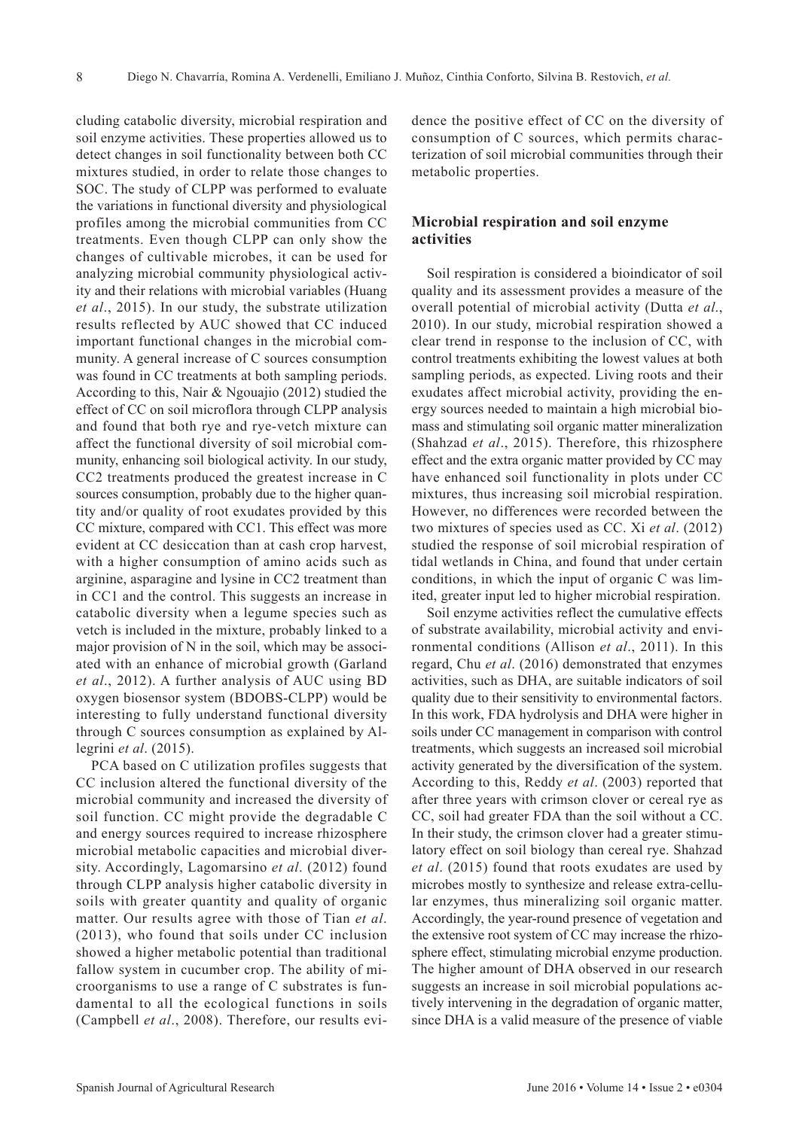cluding catabolic diversity, microbial respiration and soil enzyme activities. These properties allowed us to detect changes in soil functionality between both CC mixtures studied, in order to relate those changes to SOC. The study of CLPP was performed to evaluate the variations in functional diversity and physiological profiles among the microbial communities from CC treatments. Even though CLPP can only show the changes of cultivable microbes, it can be used for analyzing microbial community physiological activity and their relations with microbial variables (Huang *et al*., 2015). In our study, the substrate utilization results reflected by AUC showed that CC induced important functional changes in the microbial community. A general increase of C sources consumption was found in CC treatments at both sampling periods. According to this, Nair & Ngouajio (2012) studied the effect of CC on soil microflora through CLPP analysis and found that both rye and rye-vetch mixture can affect the functional diversity of soil microbial community, enhancing soil biological activity. In our study, CC2 treatments produced the greatest increase in C sources consumption, probably due to the higher quantity and/or quality of root exudates provided by this CC mixture, compared with CC1. This effect was more evident at CC desiccation than at cash crop harvest, with a higher consumption of amino acids such as arginine, asparagine and lysine in CC2 treatment than in CC1 and the control. This suggests an increase in catabolic diversity when a legume species such as vetch is included in the mixture, probably linked to a major provision of N in the soil, which may be associated with an enhance of microbial growth (Garland *et al*., 2012). A further analysis of AUC using BD oxygen biosensor system (BDOBS-CLPP) would be interesting to fully understand functional diversity through C sources consumption as explained by Allegrini *et al*. (2015).

PCA based on C utilization profiles suggests that CC inclusion altered the functional diversity of the microbial community and increased the diversity of soil function. CC might provide the degradable C and energy sources required to increase rhizosphere microbial metabolic capacities and microbial diversity. Accordingly, Lagomarsino *et al*. (2012) found through CLPP analysis higher catabolic diversity in soils with greater quantity and quality of organic matter. Our results agree with those of Tian *et al*. (2013), who found that soils under CC inclusion showed a higher metabolic potential than traditional fallow system in cucumber crop. The ability of microorganisms to use a range of C substrates is fundamental to all the ecological functions in soils (Campbell *et al*., 2008). Therefore, our results evidence the positive effect of CC on the diversity of consumption of C sources, which permits characterization of soil microbial communities through their metabolic properties.

## **Microbial respiration and soil enzyme activities**

Soil respiration is considered a bioindicator of soil quality and its assessment provides a measure of the overall potential of microbial activity (Dutta *et al*., 2010). In our study, microbial respiration showed a clear trend in response to the inclusion of CC, with control treatments exhibiting the lowest values at both sampling periods, as expected. Living roots and their exudates affect microbial activity, providing the energy sources needed to maintain a high microbial biomass and stimulating soil organic matter mineralization (Shahzad *et al*., 2015). Therefore, this rhizosphere effect and the extra organic matter provided by CC may have enhanced soil functionality in plots under CC mixtures, thus increasing soil microbial respiration. However, no differences were recorded between the two mixtures of species used as CC. Xi *et al*. (2012) studied the response of soil microbial respiration of tidal wetlands in China, and found that under certain conditions, in which the input of organic C was limited, greater input led to higher microbial respiration.

Soil enzyme activities reflect the cumulative effects of substrate availability, microbial activity and environmental conditions (Allison *et al*., 2011). In this regard, Chu *et al*. (2016) demonstrated that enzymes activities, such as DHA, are suitable indicators of soil quality due to their sensitivity to environmental factors. In this work, FDA hydrolysis and DHA were higher in soils under CC management in comparison with control treatments, which suggests an increased soil microbial activity generated by the diversification of the system. According to this, Reddy *et al*. (2003) reported that after three years with crimson clover or cereal rye as CC, soil had greater FDA than the soil without a CC. In their study, the crimson clover had a greater stimulatory effect on soil biology than cereal rye. Shahzad *et al*. (2015) found that roots exudates are used by microbes mostly to synthesize and release extra-cellular enzymes, thus mineralizing soil organic matter. Accordingly, the year-round presence of vegetation and the extensive root system of CC may increase the rhizosphere effect, stimulating microbial enzyme production. The higher amount of DHA observed in our research suggests an increase in soil microbial populations actively intervening in the degradation of organic matter, since DHA is a valid measure of the presence of viable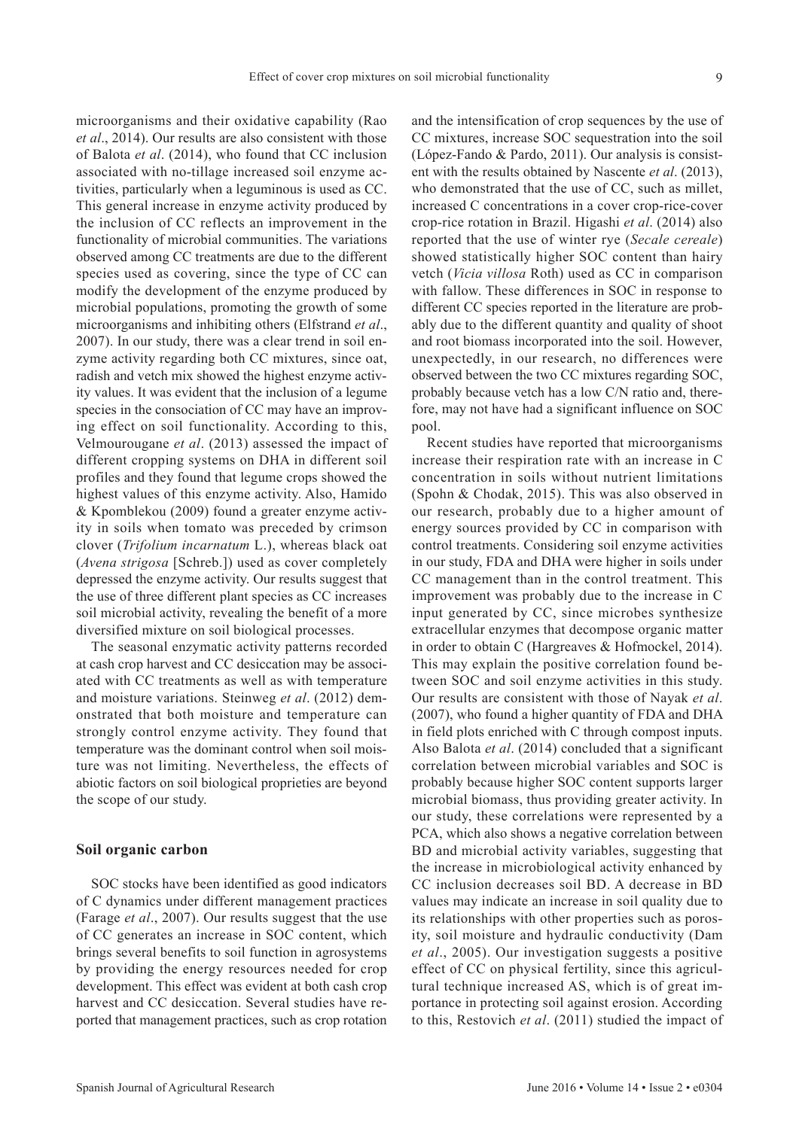microorganisms and their oxidative capability (Rao *et al*., 2014). Our results are also consistent with those of Balota *et al*. (2014), who found that CC inclusion associated with no-tillage increased soil enzyme activities, particularly when a leguminous is used as CC. This general increase in enzyme activity produced by the inclusion of CC reflects an improvement in the functionality of microbial communities. The variations observed among CC treatments are due to the different species used as covering, since the type of CC can modify the development of the enzyme produced by microbial populations, promoting the growth of some microorganisms and inhibiting others (Elfstrand *et al*., 2007). In our study, there was a clear trend in soil enzyme activity regarding both CC mixtures, since oat, radish and vetch mix showed the highest enzyme activity values. It was evident that the inclusion of a legume species in the consociation of CC may have an improving effect on soil functionality. According to this, Velmourougane *et al*. (2013) assessed the impact of different cropping systems on DHA in different soil profiles and they found that legume crops showed the highest values of this enzyme activity. Also, Hamido & Kpomblekou (2009) found a greater enzyme activity in soils when tomato was preceded by crimson clover (*Trifolium incarnatum* L.), whereas black oat (*Avena strigosa* [Schreb.]) used as cover completely depressed the enzyme activity. Our results suggest that the use of three different plant species as CC increases

diversified mixture on soil biological processes. The seasonal enzymatic activity patterns recorded at cash crop harvest and CC desiccation may be associated with CC treatments as well as with temperature and moisture variations. Steinweg *et al*. (2012) demonstrated that both moisture and temperature can strongly control enzyme activity. They found that temperature was the dominant control when soil moisture was not limiting. Nevertheless, the effects of abiotic factors on soil biological proprieties are beyond the scope of our study.

soil microbial activity, revealing the benefit of a more

#### **Soil organic carbon**

SOC stocks have been identified as good indicators of C dynamics under different management practices (Farage *et al*., 2007). Our results suggest that the use of CC generates an increase in SOC content, which brings several benefits to soil function in agrosystems by providing the energy resources needed for crop development. This effect was evident at both cash crop harvest and CC desiccation. Several studies have reported that management practices, such as crop rotation

and the intensification of crop sequences by the use of CC mixtures, increase SOC sequestration into the soil (López-Fando & Pardo, 2011). Our analysis is consistent with the results obtained by Nascente *et al*. (2013), who demonstrated that the use of CC, such as millet, increased C concentrations in a cover crop-rice-cover crop-rice rotation in Brazil. Higashi *et al*. (2014) also reported that the use of winter rye (*Secale cereale*) showed statistically higher SOC content than hairy vetch (*Vicia villosa* Roth) used as CC in comparison with fallow. These differences in SOC in response to different CC species reported in the literature are probably due to the different quantity and quality of shoot and root biomass incorporated into the soil. However, unexpectedly, in our research, no differences were observed between the two CC mixtures regarding SOC, probably because vetch has a low C/N ratio and, therefore, may not have had a significant influence on SOC pool.

Recent studies have reported that microorganisms increase their respiration rate with an increase in C concentration in soils without nutrient limitations (Spohn & Chodak, 2015). This was also observed in our research, probably due to a higher amount of energy sources provided by CC in comparison with control treatments. Considering soil enzyme activities in our study, FDA and DHA were higher in soils under CC management than in the control treatment. This improvement was probably due to the increase in C input generated by CC, since microbes synthesize extracellular enzymes that decompose organic matter in order to obtain C (Hargreaves & Hofmockel, 2014). This may explain the positive correlation found between SOC and soil enzyme activities in this study. Our results are consistent with those of Nayak *et al*. (2007), who found a higher quantity of FDA and DHA in field plots enriched with C through compost inputs. Also Balota *et al*. (2014) concluded that a significant correlation between microbial variables and SOC is probably because higher SOC content supports larger microbial biomass, thus providing greater activity. In our study, these correlations were represented by a PCA, which also shows a negative correlation between BD and microbial activity variables, suggesting that the increase in microbiological activity enhanced by CC inclusion decreases soil BD. A decrease in BD values may indicate an increase in soil quality due to its relationships with other properties such as porosity, soil moisture and hydraulic conductivity (Dam *et al*., 2005). Our investigation suggests a positive effect of CC on physical fertility, since this agricultural technique increased AS, which is of great importance in protecting soil against erosion. According to this, Restovich *et al*. (2011) studied the impact of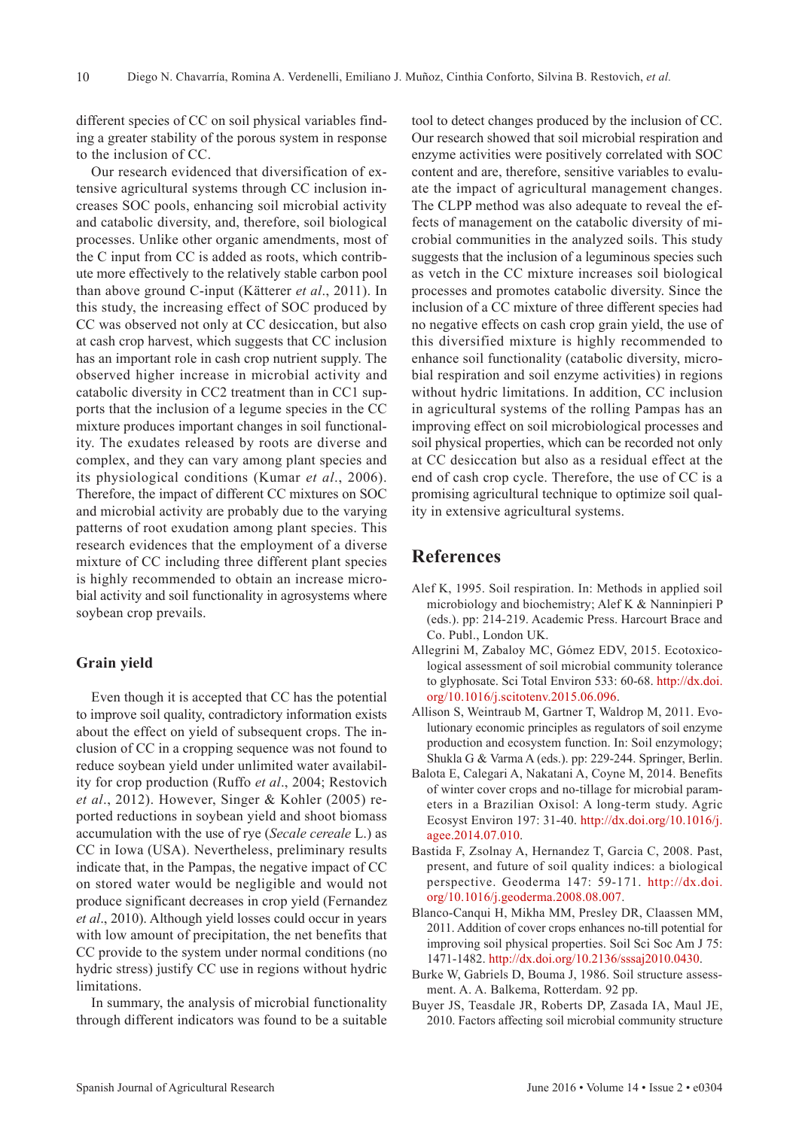different species of CC on soil physical variables finding a greater stability of the porous system in response to the inclusion of CC.

Our research evidenced that diversification of extensive agricultural systems through CC inclusion increases SOC pools, enhancing soil microbial activity and catabolic diversity, and, therefore, soil biological processes. Unlike other organic amendments, most of the C input from CC is added as roots, which contribute more effectively to the relatively stable carbon pool than above ground C-input (Kätterer *et al*., 2011). In this study, the increasing effect of SOC produced by CC was observed not only at CC desiccation, but also at cash crop harvest, which suggests that CC inclusion has an important role in cash crop nutrient supply. The observed higher increase in microbial activity and catabolic diversity in CC2 treatment than in CC1 supports that the inclusion of a legume species in the CC mixture produces important changes in soil functionality. The exudates released by roots are diverse and complex, and they can vary among plant species and its physiological conditions (Kumar *et al*., 2006). Therefore, the impact of different CC mixtures on SOC and microbial activity are probably due to the varying patterns of root exudation among plant species. This research evidences that the employment of a diverse mixture of CC including three different plant species is highly recommended to obtain an increase microbial activity and soil functionality in agrosystems where soybean crop prevails.

## **Grain yield**

Even though it is accepted that CC has the potential to improve soil quality, contradictory information exists about the effect on yield of subsequent crops. The inclusion of CC in a cropping sequence was not found to reduce soybean yield under unlimited water availability for crop production (Ruffo *et al*., 2004; Restovich *et al*., 2012). However, Singer & Kohler (2005) reported reductions in soybean yield and shoot biomass accumulation with the use of rye (*Secale cereale* L.) as CC in Iowa (USA). Nevertheless, preliminary results indicate that, in the Pampas, the negative impact of CC on stored water would be negligible and would not produce significant decreases in crop yield (Fernandez *et al*., 2010). Although yield losses could occur in years with low amount of precipitation, the net benefits that CC provide to the system under normal conditions (no hydric stress) justify CC use in regions without hydric limitations.

In summary, the analysis of microbial functionality through different indicators was found to be a suitable

tool to detect changes produced by the inclusion of CC. Our research showed that soil microbial respiration and enzyme activities were positively correlated with SOC content and are, therefore, sensitive variables to evaluate the impact of agricultural management changes. The CLPP method was also adequate to reveal the effects of management on the catabolic diversity of microbial communities in the analyzed soils. This study suggests that the inclusion of a leguminous species such as vetch in the CC mixture increases soil biological processes and promotes catabolic diversity. Since the inclusion of a CC mixture of three different species had no negative effects on cash crop grain yield, the use of this diversified mixture is highly recommended to enhance soil functionality (catabolic diversity, microbial respiration and soil enzyme activities) in regions without hydric limitations. In addition, CC inclusion in agricultural systems of the rolling Pampas has an improving effect on soil microbiological processes and soil physical properties, which can be recorded not only at CC desiccation but also as a residual effect at the end of cash crop cycle. Therefore, the use of CC is a promising agricultural technique to optimize soil quality in extensive agricultural systems.

# **References**

- Alef K, 1995. Soil respiration. In: Methods in applied soil microbiology and biochemistry; Alef K & Nanninpieri P (eds.). pp: 214-219. Academic Press. Harcourt Brace and Co. Publ., London UK.
- Allegrini M, Zabaloy MC, Gómez EDV, 2015. Ecotoxicological assessment of soil microbial community tolerance to glyphosate. Sci Total Environ 533: 60-68. [http://dx.doi.](http://dx.doi.org/10.1016/j.scitotenv.2015.06.096) [org/10.1016/j.scitotenv.2015.06.096.](http://dx.doi.org/10.1016/j.scitotenv.2015.06.096)
- Allison S, Weintraub M, Gartner T, Waldrop M, 2011. Evolutionary economic principles as regulators of soil enzyme production and ecosystem function. In: Soil enzymology; Shukla G & Varma A (eds.). pp: 229-244. Springer, Berlin.
- Balota E, Calegari A, Nakatani A, Coyne M, 2014. Benefits of winter cover crops and no-tillage for microbial parameters in a Brazilian Oxisol: A long-term study. Agric Ecosyst Environ 197: 31-40. [http://dx.doi.org/10.1016/j.](http://dx.doi.org/10.1016/j.agee.2014.07.010) [agee.2014.07.010](http://dx.doi.org/10.1016/j.agee.2014.07.010).
- Bastida F, Zsolnay A, Hernandez T, Garcia C, 2008. Past, present, and future of soil quality indices: a biological perspective. Geoderma 147: 59-171. [http://dx.doi.](http://dx.doi.org/10.1016/j.geoderma.2008.08.007) [org/10.1016/j.geoderma.2008.08.007](http://dx.doi.org/10.1016/j.geoderma.2008.08.007).
- Blanco-Canqui H, Mikha MM, Presley DR, Claassen MM, 2011. Addition of cover crops enhances no-till potential for improving soil physical properties. Soil Sci Soc Am J 75: 1471-1482.<http://dx.doi.org/10.2136/sssaj2010.0430>.
- Burke W, Gabriels D, Bouma J, 1986. Soil structure assessment. A. A. Balkema, Rotterdam. 92 pp.
- Buyer JS, Teasdale JR, Roberts DP, Zasada IA, Maul JE, 2010. Factors affecting soil microbial community structure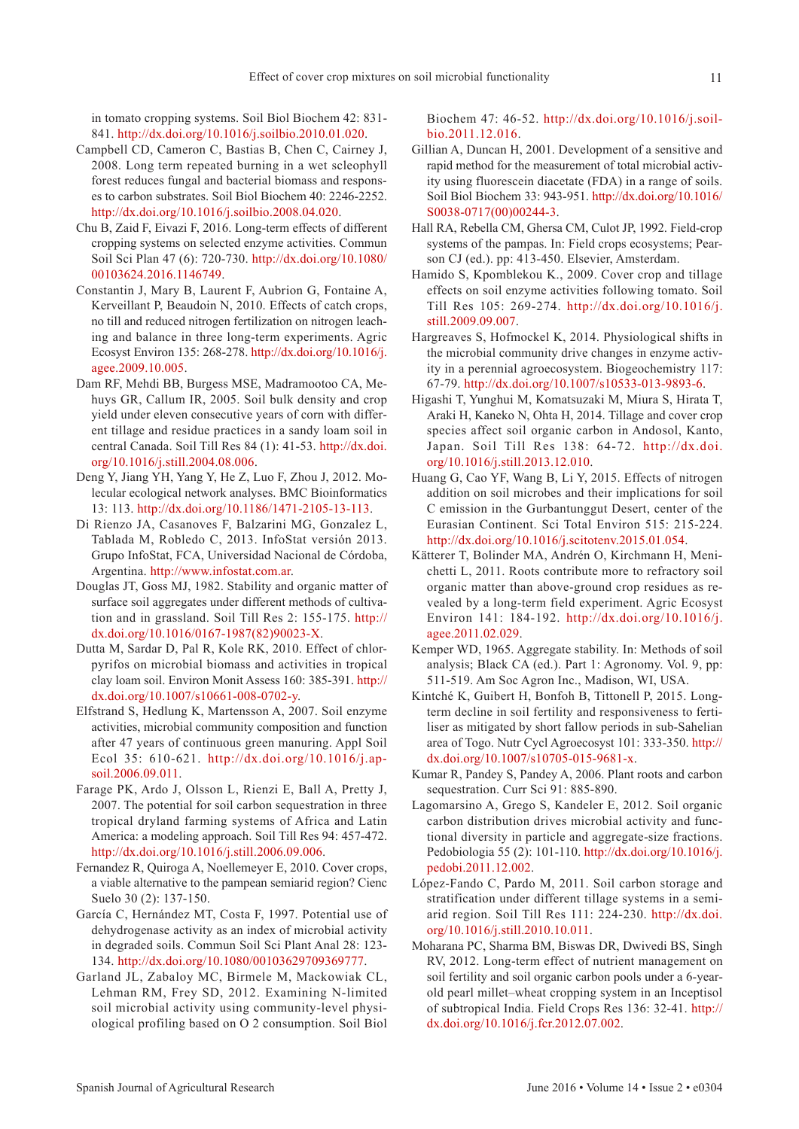in tomato cropping systems. Soil Biol Biochem 42: 831- 841. [http://dx.doi.org/10.1016/j.soilbio.2010.01.020.](http://dx.doi.org/10.1016/j.soilbio.2010.01.020)

- Campbell CD, Cameron C, Bastias B, Chen C, Cairney J, 2008. Long term repeated burning in a wet scleophyll forest reduces fungal and bacterial biomass and responses to carbon substrates. Soil Biol Biochem 40: 2246-2252. <http://dx.doi.org/10.1016/j.soilbio.2008.04.020>.
- Chu B, Zaid F, Eivazi F, 2016. Long-term effects of different cropping systems on selected enzyme activities. Commun Soil Sci Plan 47 (6): 720-730. [http://dx.doi.org/10.1080/](http://dx.doi.org/10.1080/00103624.2016.1146749) [00103624.2016.1146749](http://dx.doi.org/10.1080/00103624.2016.1146749).
- Constantin J, Mary B, Laurent F, Aubrion G, Fontaine A, Kerveillant P, Beaudoin N, 2010. Effects of catch crops, no till and reduced nitrogen fertilization on nitrogen leaching and balance in three long-term experiments. Agric Ecosyst Environ 135: 268-278. [http://dx.doi.org/10.1016/j.](http://dx.doi.org/10.1016/j.agee.2009.10.005) [agee.2009.10.005](http://dx.doi.org/10.1016/j.agee.2009.10.005).
- Dam RF, Mehdi BB, Burgess MSE, Madramootoo CA, Mehuys GR, Callum IR, 2005. Soil bulk density and crop yield under eleven consecutive years of corn with different tillage and residue practices in a sandy loam soil in central Canada. Soil Till Res 84 (1): 41-53. [http://dx.doi.](http://dx.doi.org/10.1016/j.still.2004.08.006) [org/10.1016/j.still.2004.08.006.](http://dx.doi.org/10.1016/j.still.2004.08.006)
- Deng Y, Jiang YH, Yang Y, He Z, Luo F, Zhou J, 2012. Molecular ecological network analyses. BMC Bioinformatics 13: 113. [http://dx.doi.org/10.1186/1471-2105-13-113.](http://dx.doi.org/10.1186/1471-2105-13-113)
- Di Rienzo JA, Casanoves F, Balzarini MG, Gonzalez L, Tablada M, Robledo C, 2013. InfoStat versión 2013. Grupo InfoStat, FCA, Universidad Nacional de Córdoba, Argentina. <http://www.infostat.com.ar>.
- Douglas JT, Goss MJ, 1982. Stability and organic matter of surface soil aggregates under different methods of cultivation and in grassland. Soil Till Res 2: 155-175. [http://](http://dx.doi.org/10.1016/0167-1987%2882%2990023-X) [dx.doi.org/10.1016/0167-1987\(82\)90023-X](http://dx.doi.org/10.1016/0167-1987%2882%2990023-X).
- Dutta M, Sardar D, Pal R, Kole RK, 2010. Effect of chlorpyrifos on microbial biomass and activities in tropical clay loam soil. Environ Monit Assess 160: 385-391. [http://](http://dx.doi.org/10.1007/s10661-008-0702-y) [dx.doi.org/10.1007/s10661-008-0702-y.](http://dx.doi.org/10.1007/s10661-008-0702-y)
- Elfstrand S, Hedlung K, Martensson A, 2007. Soil enzyme activities, microbial community composition and function after 47 years of continuous green manuring. Appl Soil Ecol 35: 610-621. [http://dx.doi.org/10.1016/j.ap](http://dx.doi.org/10.1016/j.apsoil.2006.09.011)[soil.2006.09.011](http://dx.doi.org/10.1016/j.apsoil.2006.09.011).
- Farage PK, Ardo J, Olsson L, Rienzi E, Ball A, Pretty J, 2007. The potential for soil carbon sequestration in three tropical dryland farming systems of Africa and Latin America: a modeling approach. Soil Till Res 94: 457-472. <http://dx.doi.org/10.1016/j.still.2006.09.006>.
- Fernandez R, Quiroga A, Noellemeyer E, 2010. Cover crops, a viable alternative to the pampean semiarid region? Cienc Suelo 30 (2): 137-150.
- García C, Hernández MT, Costa F, 1997. Potential use of dehydrogenase activity as an index of microbial activity in degraded soils. Commun Soil Sci Plant Anal 28: 123- 134. <http://dx.doi.org/10.1080/00103629709369777>.
- Garland JL, Zabaloy MC, Birmele M, Mackowiak CL, Lehman RM, Frey SD, 2012. Examining N-limited soil microbial activity using community-level physiological profiling based on O 2 consumption. Soil Biol

Biochem 47: 46-52. [http://dx.doi.org/10.1016/j.soil](http://dx.doi.org/10.1016/j.soilbio.2011.12.016)[bio.2011.12.016.](http://dx.doi.org/10.1016/j.soilbio.2011.12.016)

- Gillian A, Duncan H, 2001. Development of a sensitive and rapid method for the measurement of total microbial activity using fluorescein diacetate (FDA) in a range of soils. Soil Biol Biochem 33: 943-951. [http://dx.doi.org/10.1016/](http://dx.doi.org/10.1016/S0038-0717%2800%2900244-3) [S0038-0717\(00\)00244-3.](http://dx.doi.org/10.1016/S0038-0717%2800%2900244-3)
- Hall RA, Rebella CM, Ghersa CM, Culot JP, 1992. Field-crop systems of the pampas. In: Field crops ecosystems; Pearson CJ (ed.). pp: 413-450. Elsevier, Amsterdam.
- Hamido S, Kpomblekou K., 2009. Cover crop and tillage effects on soil enzyme activities following tomato. Soil Till Res 105: 269-274. [http://dx.doi.org/10.1016/j.](http://dx.doi.org/10.1016/j.still.2009.09.007) [still.2009.09.007](http://dx.doi.org/10.1016/j.still.2009.09.007).
- Hargreaves S, Hofmockel K, 2014. Physiological shifts in the microbial community drive changes in enzyme activity in a perennial agroecosystem. Biogeochemistry 117: 67-79. [http://dx.doi.org/10.1007/s10533-013-9893-6.](http://dx.doi.org/10.1007/s10533-013-9893-6)
- Higashi T, Yunghui M, Komatsuzaki M, Miura S, Hirata T, Araki H, Kaneko N, Ohta H, 2014. Tillage and cover crop species affect soil organic carbon in Andosol, Kanto, Japan. Soil Till Res 138: 64-72. [http://dx.doi.](http://dx.doi.org/10.1016/j.still.2013.12.010) [org/10.1016/j.still.2013.12.010.](http://dx.doi.org/10.1016/j.still.2013.12.010)
- Huang G, Cao YF, Wang B, Li Y, 2015. Effects of nitrogen addition on soil microbes and their implications for soil C emission in the Gurbantunggut Desert, center of the Eurasian Continent. Sci Total Environ 515: 215-224. <http://dx.doi.org/10.1016/j.scitotenv.2015.01.054>.
- Kätterer T, Bolinder MA, Andrén O, Kirchmann H, Menichetti L, 2011. Roots contribute more to refractory soil organic matter than above-ground crop residues as revealed by a long-term field experiment. Agric Ecosyst Environ 141: 184-192. [http://dx.doi.org/10.1016/j.](http://dx.doi.org/10.1016/j.agee.2011.02.029) [agee.2011.02.029](http://dx.doi.org/10.1016/j.agee.2011.02.029).
- Kemper WD, 1965. Aggregate stability. In: Methods of soil analysis; Black CA (ed.). Part 1: Agronomy. Vol. 9, pp: 511-519. Am Soc Agron Inc., Madison, WI, USA.
- Kintché K, Guibert H, Bonfoh B, Tittonell P, 2015. Longterm decline in soil fertility and responsiveness to fertiliser as mitigated by short fallow periods in sub-Sahelian area of Togo. Nutr Cycl Agroecosyst 101: 333-350. [http://](http://dx.doi.org/10.1007/s10705-015-9681-x) [dx.doi.org/10.1007/s10705-015-9681-x](http://dx.doi.org/10.1007/s10705-015-9681-x).
- Kumar R, Pandey S, Pandey A, 2006. Plant roots and carbon sequestration. Curr Sci 91: 885-890.
- Lagomarsino A, Grego S, Kandeler E, 2012. Soil organic carbon distribution drives microbial activity and functional diversity in particle and aggregate-size fractions. Pedobiologia 55 (2): 101-110. [http://dx.doi.org/10.1016/j.](http://dx.doi.org/10.1016/j.pedobi.2011.12.002) [pedobi.2011.12.002.](http://dx.doi.org/10.1016/j.pedobi.2011.12.002)
- López-Fando C, Pardo M, 2011. Soil carbon storage and stratification under different tillage systems in a semiarid region. Soil Till Res 111: 224-230. [http://dx.doi.](http://dx.doi.org/10.1016/j.still.2010.10.011) [org/10.1016/j.still.2010.10.011](http://dx.doi.org/10.1016/j.still.2010.10.011).
- Moharana PC, Sharma BM, Biswas DR, Dwivedi BS, Singh RV, 2012. Long-term effect of nutrient management on soil fertility and soil organic carbon pools under a 6-yearold pearl millet–wheat cropping system in an Inceptisol of subtropical India. Field Crops Res 136: 32-41. [http://](http://dx.doi.org/10.1016/j.fcr.2012.07.002) [dx.doi.org/10.1016/j.fcr.2012.07.002](http://dx.doi.org/10.1016/j.fcr.2012.07.002).